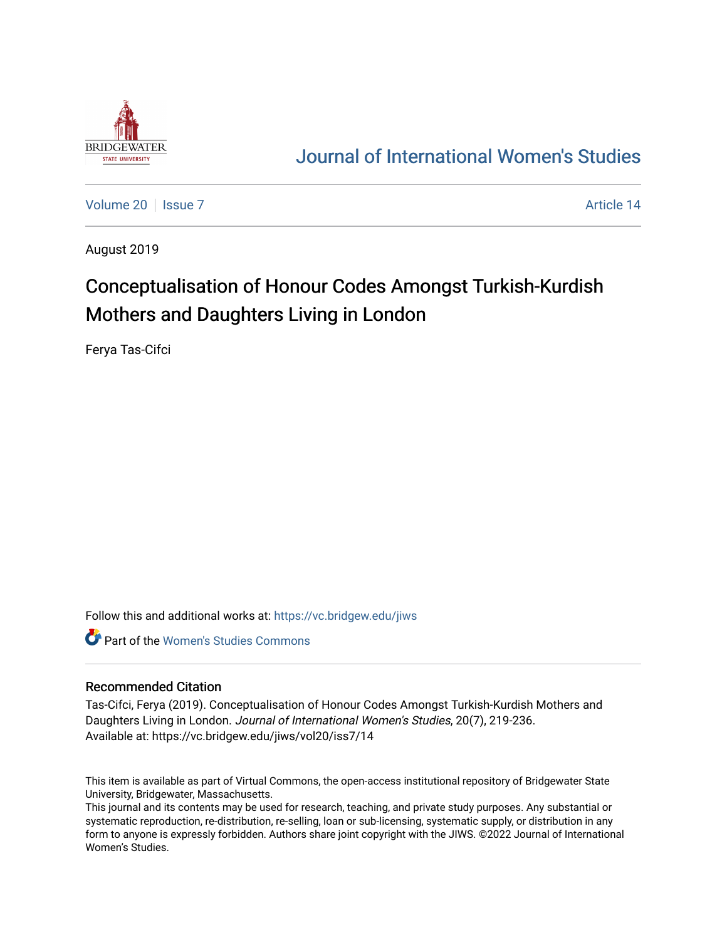

## [Journal of International Women's Studies](https://vc.bridgew.edu/jiws)

[Volume 20](https://vc.bridgew.edu/jiws/vol20) | [Issue 7](https://vc.bridgew.edu/jiws/vol20/iss7) Article 14

August 2019

# Conceptualisation of Honour Codes Amongst Turkish-Kurdish Mothers and Daughters Living in London

Ferya Tas-Cifci

Follow this and additional works at: [https://vc.bridgew.edu/jiws](https://vc.bridgew.edu/jiws?utm_source=vc.bridgew.edu%2Fjiws%2Fvol20%2Fiss7%2F14&utm_medium=PDF&utm_campaign=PDFCoverPages)

**C** Part of the Women's Studies Commons

#### Recommended Citation

Tas-Cifci, Ferya (2019). Conceptualisation of Honour Codes Amongst Turkish-Kurdish Mothers and Daughters Living in London. Journal of International Women's Studies, 20(7), 219-236. Available at: https://vc.bridgew.edu/jiws/vol20/iss7/14

This item is available as part of Virtual Commons, the open-access institutional repository of Bridgewater State University, Bridgewater, Massachusetts.

This journal and its contents may be used for research, teaching, and private study purposes. Any substantial or systematic reproduction, re-distribution, re-selling, loan or sub-licensing, systematic supply, or distribution in any form to anyone is expressly forbidden. Authors share joint copyright with the JIWS. ©2022 Journal of International Women's Studies.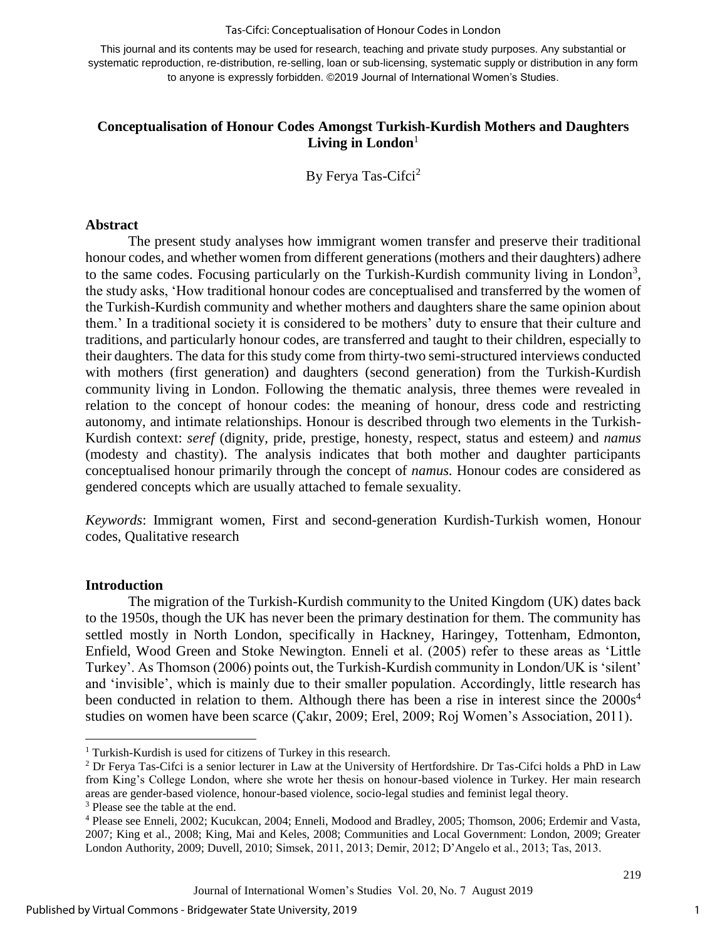#### Tas-Cifci: Conceptualisation of Honour Codes in London

This journal and its contents may be used for research, teaching and private study purposes. Any substantial or systematic reproduction, re-distribution, re-selling, loan or sub-licensing, systematic supply or distribution in any form to anyone is expressly forbidden. ©2019 Journal of International Women's Studies.

#### **Conceptualisation of Honour Codes Amongst Turkish-Kurdish Mothers and Daughters**  Living in London<sup>1</sup>

By Ferya Tas-Cifci<sup>2</sup>

#### **Abstract**

The present study analyses how immigrant women transfer and preserve their traditional honour codes, and whether women from different generations (mothers and their daughters) adhere to the same codes. Focusing particularly on the Turkish-Kurdish community living in London<sup>3</sup>, the study asks, 'How traditional honour codes are conceptualised and transferred by the women of the Turkish-Kurdish community and whether mothers and daughters share the same opinion about them.' In a traditional society it is considered to be mothers' duty to ensure that their culture and traditions, and particularly honour codes, are transferred and taught to their children, especially to their daughters. The data for this study come from thirty-two semi-structured interviews conducted with mothers (first generation) and daughters (second generation) from the Turkish-Kurdish community living in London. Following the thematic analysis, three themes were revealed in relation to the concept of honour codes: the meaning of honour, dress code and restricting autonomy, and intimate relationships. Honour is described through two elements in the Turkish-Kurdish context: *seref* (dignity, pride, prestige, honesty, respect, status and esteem*)* and *namus* (modesty and chastity). The analysis indicates that both mother and daughter participants conceptualised honour primarily through the concept of *namus.* Honour codes are considered as gendered concepts which are usually attached to female sexuality.

*Keywords*: Immigrant women, First and second-generation Kurdish-Turkish women, Honour codes, Qualitative research

#### **Introduction**

 $\overline{a}$ 

The migration of the Turkish-Kurdish community to the United Kingdom (UK) dates back to the 1950s, though the UK has never been the primary destination for them. The community has settled mostly in North London, specifically in Hackney, Haringey, Tottenham, Edmonton, Enfield, Wood Green and Stoke Newington. Enneli et al. (2005) refer to these areas as 'Little Turkey'. As Thomson (2006) points out, the Turkish-Kurdish community in London/UK is 'silent' and 'invisible', which is mainly due to their smaller population. Accordingly, little research has been conducted in relation to them. Although there has been a rise in interest since the  $2000s<sup>4</sup>$ studies on women have been scarce (Çakır, 2009; Erel, 2009; Roj Women's Association, 2011).

1

<sup>&</sup>lt;sup>1</sup> Turkish-Kurdish is used for citizens of Turkey in this research.

 $2$  Dr Ferya Tas-Cifci is a senior lecturer in Law at the University of Hertfordshire. Dr Tas-Cifci holds a PhD in Law from King's College London, where she wrote her thesis on honour-based violence in Turkey. Her main research areas are gender-based violence, honour-based violence, socio-legal studies and feminist legal theory.

<sup>&</sup>lt;sup>3</sup> Please see the table at the end.

<sup>4</sup> Please see Enneli, 2002; Kucukcan, 2004; Enneli, Modood and Bradley, 2005; Thomson, 2006; Erdemir and Vasta, 2007; King et al., 2008; King, Mai and Keles, 2008; Communities and Local Government: London, 2009; Greater London Authority, 2009; Duvell, 2010; Simsek, 2011, 2013; Demir, 2012; D'Angelo et al., 2013; Tas, 2013.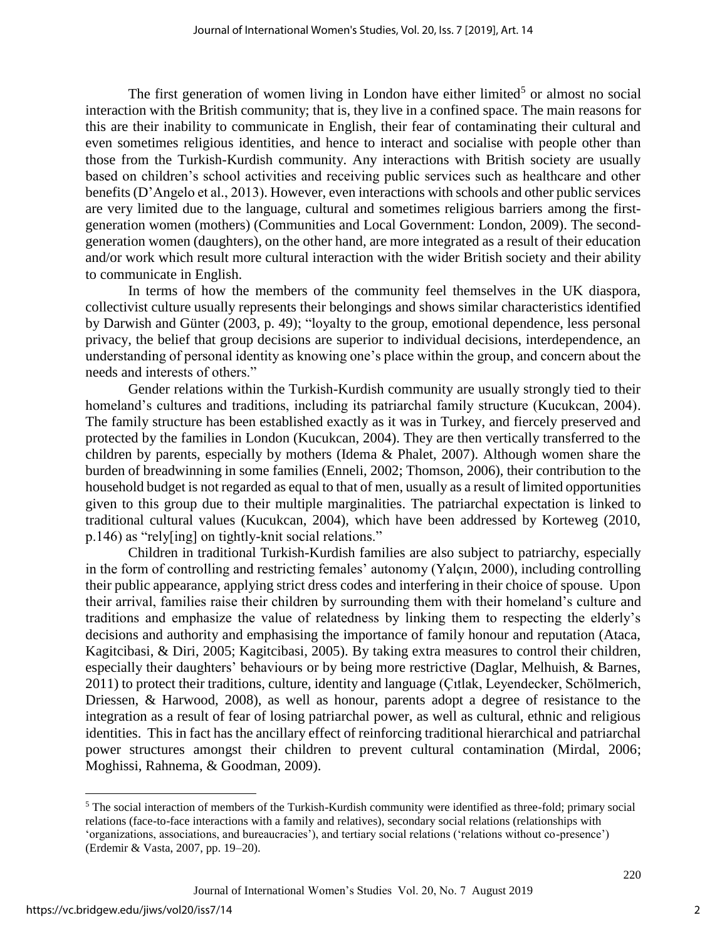The first generation of women living in London have either limited<sup>5</sup> or almost no social interaction with the British community; that is, they live in a confined space. The main reasons for this are their inability to communicate in English, their fear of contaminating their cultural and even sometimes religious identities, and hence to interact and socialise with people other than those from the Turkish-Kurdish community. Any interactions with British society are usually based on children's school activities and receiving public services such as healthcare and other benefits (D'Angelo et al., 2013). However, even interactions with schools and other public services are very limited due to the language, cultural and sometimes religious barriers among the firstgeneration women (mothers) (Communities and Local Government: London, 2009). The secondgeneration women (daughters), on the other hand, are more integrated as a result of their education and/or work which result more cultural interaction with the wider British society and their ability to communicate in English.

In terms of how the members of the community feel themselves in the UK diaspora, collectivist culture usually represents their belongings and shows similar characteristics identified by Darwish and Günter (2003, p. 49); "loyalty to the group, emotional dependence, less personal privacy, the belief that group decisions are superior to individual decisions, interdependence, an understanding of personal identity as knowing one's place within the group, and concern about the needs and interests of others."

Gender relations within the Turkish-Kurdish community are usually strongly tied to their homeland's cultures and traditions, including its patriarchal family structure (Kucukcan, 2004). The family structure has been established exactly as it was in Turkey, and fiercely preserved and protected by the families in London (Kucukcan, 2004). They are then vertically transferred to the children by parents, especially by mothers (Idema & Phalet, 2007). Although women share the burden of breadwinning in some families (Enneli, 2002; Thomson, 2006), their contribution to the household budget is not regarded as equal to that of men, usually as a result of limited opportunities given to this group due to their multiple marginalities. The patriarchal expectation is linked to traditional cultural values (Kucukcan, 2004), which have been addressed by Korteweg (2010, p.146) as "rely[ing] on tightly-knit social relations."

Children in traditional Turkish-Kurdish families are also subject to patriarchy, especially in the form of controlling and restricting females' autonomy (Yalçın, 2000), including controlling their public appearance, applying strict dress codes and interfering in their choice of spouse. Upon their arrival, families raise their children by surrounding them with their homeland's culture and traditions and emphasize the value of relatedness by linking them to respecting the elderly's decisions and authority and emphasising the importance of family honour and reputation (Ataca, Kagitcibasi, & Diri, 2005; Kagitcibasi, 2005). By taking extra measures to control their children, especially their daughters' behaviours or by being more restrictive (Daglar, Melhuish, & Barnes, 2011) to protect their traditions, culture, identity and language (Çıtlak, Leyendecker, Schölmerich, Driessen, & Harwood, 2008), as well as honour, parents adopt a degree of resistance to the integration as a result of fear of losing patriarchal power, as well as cultural, ethnic and religious identities. This in fact has the ancillary effect of reinforcing traditional hierarchical and patriarchal power structures amongst their children to prevent cultural contamination (Mirdal, 2006; Moghissi, Rahnema, & Goodman, 2009).

 $\overline{a}$ 

<sup>5</sup> The social interaction of members of the Turkish-Kurdish community were identified as three-fold; primary social relations (face-to-face interactions with a family and relatives), secondary social relations (relationships with 'organizations, associations, and bureaucracies'), and tertiary social relations ('relations without co-presence') (Erdemir & Vasta, 2007, pp. 19–20).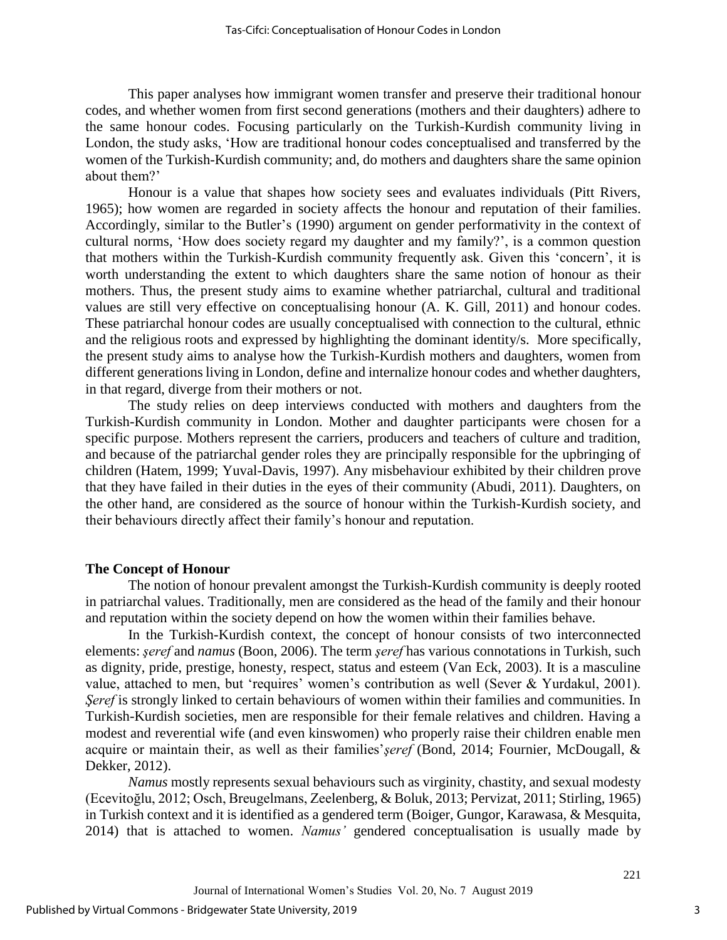This paper analyses how immigrant women transfer and preserve their traditional honour codes, and whether women from first second generations (mothers and their daughters) adhere to the same honour codes. Focusing particularly on the Turkish-Kurdish community living in London, the study asks, 'How are traditional honour codes conceptualised and transferred by the women of the Turkish-Kurdish community; and, do mothers and daughters share the same opinion about them?'

Honour is a value that shapes how society sees and evaluates individuals (Pitt Rivers, 1965); how women are regarded in society affects the honour and reputation of their families. Accordingly, similar to the Butler's (1990) argument on gender performativity in the context of cultural norms, 'How does society regard my daughter and my family?', is a common question that mothers within the Turkish-Kurdish community frequently ask. Given this 'concern', it is worth understanding the extent to which daughters share the same notion of honour as their mothers. Thus, the present study aims to examine whether patriarchal, cultural and traditional values are still very effective on conceptualising honour (A. K. Gill, 2011) and honour codes. These patriarchal honour codes are usually conceptualised with connection to the cultural, ethnic and the religious roots and expressed by highlighting the dominant identity/s. More specifically, the present study aims to analyse how the Turkish-Kurdish mothers and daughters, women from different generations living in London, define and internalize honour codes and whether daughters, in that regard, diverge from their mothers or not.

The study relies on deep interviews conducted with mothers and daughters from the Turkish-Kurdish community in London. Mother and daughter participants were chosen for a specific purpose. Mothers represent the carriers, producers and teachers of culture and tradition, and because of the patriarchal gender roles they are principally responsible for the upbringing of children (Hatem, 1999; Yuval-Davis, 1997). Any misbehaviour exhibited by their children prove that they have failed in their duties in the eyes of their community (Abudi, 2011). Daughters, on the other hand, are considered as the source of honour within the Turkish-Kurdish society, and their behaviours directly affect their family's honour and reputation.

#### **The Concept of Honour**

The notion of honour prevalent amongst the Turkish-Kurdish community is deeply rooted in patriarchal values. Traditionally, men are considered as the head of the family and their honour and reputation within the society depend on how the women within their families behave.

In the Turkish-Kurdish context, the concept of honour consists of two interconnected elements: *şeref* and *namus* (Boon, 2006). The term *şeref* has various connotations in Turkish, such as dignity, pride, prestige, honesty, respect, status and esteem (Van Eck, 2003). It is a masculine value, attached to men, but 'requires' women's contribution as well (Sever & Yurdakul, 2001). *Seref* is strongly linked to certain behaviours of women within their families and communities. In Turkish-Kurdish societies, men are responsible for their female relatives and children. Having a modest and reverential wife (and even kinswomen) who properly raise their children enable men acquire or maintain their, as well as their families'*şeref* (Bond, 2014; Fournier, McDougall, & Dekker, 2012).

*Namus* mostly represents sexual behaviours such as virginity, chastity, and sexual modesty (Ecevitoğlu, 2012; Osch, Breugelmans, Zeelenberg, & Boluk, 2013; Pervizat, 2011; Stirling, 1965) in Turkish context and it is identified as a gendered term (Boiger, Gungor, Karawasa, & Mesquita, 2014) that is attached to women. *Namus'* gendered conceptualisation is usually made by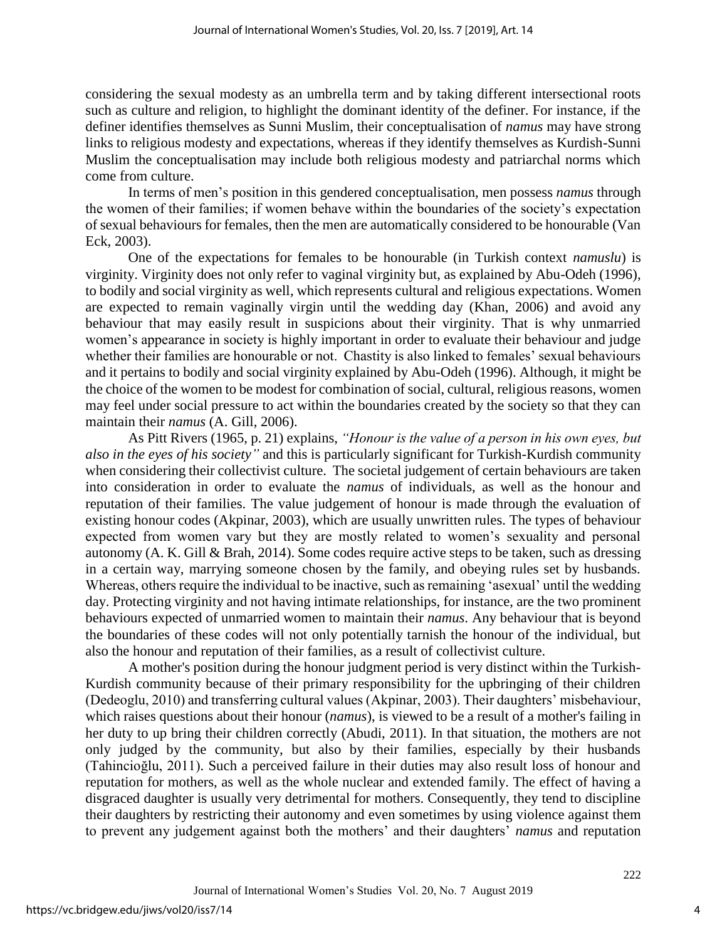considering the sexual modesty as an umbrella term and by taking different intersectional roots such as culture and religion, to highlight the dominant identity of the definer. For instance, if the definer identifies themselves as Sunni Muslim, their conceptualisation of *namus* may have strong links to religious modesty and expectations, whereas if they identify themselves as Kurdish-Sunni Muslim the conceptualisation may include both religious modesty and patriarchal norms which come from culture.

In terms of men's position in this gendered conceptualisation, men possess *namus* through the women of their families; if women behave within the boundaries of the society's expectation of sexual behaviours for females, then the men are automatically considered to be honourable (Van Eck, 2003).

One of the expectations for females to be honourable (in Turkish context *namuslu*) is virginity. Virginity does not only refer to vaginal virginity but, as explained by Abu-Odeh (1996), to bodily and social virginity as well, which represents cultural and religious expectations. Women are expected to remain vaginally virgin until the wedding day (Khan, 2006) and avoid any behaviour that may easily result in suspicions about their virginity. That is why unmarried women's appearance in society is highly important in order to evaluate their behaviour and judge whether their families are honourable or not. Chastity is also linked to females' sexual behaviours and it pertains to bodily and social virginity explained by Abu-Odeh (1996). Although, it might be the choice of the women to be modest for combination of social, cultural, religious reasons, women may feel under social pressure to act within the boundaries created by the society so that they can maintain their *namus* (A. Gill, 2006).

As Pitt Rivers (1965, p. 21) explains, *"Honour is the value of a person in his own eyes, but also in the eyes of his society"* and this is particularly significant for Turkish-Kurdish community when considering their collectivist culture. The societal judgement of certain behaviours are taken into consideration in order to evaluate the *namus* of individuals, as well as the honour and reputation of their families. The value judgement of honour is made through the evaluation of existing honour codes (Akpinar, 2003), which are usually unwritten rules. The types of behaviour expected from women vary but they are mostly related to women's sexuality and personal autonomy (A. K. Gill & Brah, 2014). Some codes require active steps to be taken, such as dressing in a certain way, marrying someone chosen by the family, and obeying rules set by husbands. Whereas, others require the individual to be inactive, such as remaining 'asexual' until the wedding day. Protecting virginity and not having intimate relationships, for instance, are the two prominent behaviours expected of unmarried women to maintain their *namus*. Any behaviour that is beyond the boundaries of these codes will not only potentially tarnish the honour of the individual, but also the honour and reputation of their families, as a result of collectivist culture.

A mother's position during the honour judgment period is very distinct within the Turkish-Kurdish community because of their primary responsibility for the upbringing of their children (Dedeoglu, 2010) and transferring cultural values (Akpinar, 2003). Their daughters' misbehaviour, which raises questions about their honour (*namus*), is viewed to be a result of a mother's failing in her duty to up bring their children correctly (Abudi, 2011). In that situation, the mothers are not only judged by the community, but also by their families, especially by their husbands (Tahincioğlu, 2011). Such a perceived failure in their duties may also result loss of honour and reputation for mothers, as well as the whole nuclear and extended family. The effect of having a disgraced daughter is usually very detrimental for mothers. Consequently, they tend to discipline their daughters by restricting their autonomy and even sometimes by using violence against them to prevent any judgement against both the mothers' and their daughters' *namus* and reputation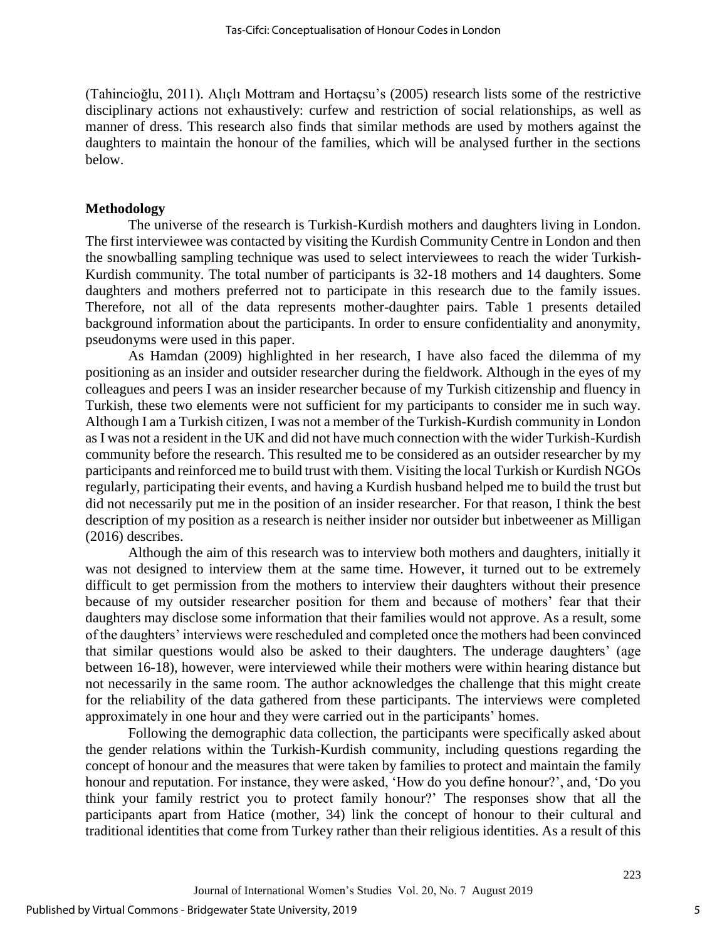(Tahincioğlu, 2011). Alıçlı Mottram and Hortaçsu's (2005) research lists some of the restrictive disciplinary actions not exhaustively: curfew and restriction of social relationships, as well as manner of dress. This research also finds that similar methods are used by mothers against the daughters to maintain the honour of the families, which will be analysed further in the sections below.

#### **Methodology**

The universe of the research is Turkish-Kurdish mothers and daughters living in London. The first interviewee was contacted by visiting the Kurdish Community Centre in London and then the snowballing sampling technique was used to select interviewees to reach the wider Turkish-Kurdish community. The total number of participants is 32-18 mothers and 14 daughters. Some daughters and mothers preferred not to participate in this research due to the family issues. Therefore, not all of the data represents mother-daughter pairs. Table 1 presents detailed background information about the participants. In order to ensure confidentiality and anonymity, pseudonyms were used in this paper.

As Hamdan (2009) highlighted in her research, I have also faced the dilemma of my positioning as an insider and outsider researcher during the fieldwork. Although in the eyes of my colleagues and peers I was an insider researcher because of my Turkish citizenship and fluency in Turkish, these two elements were not sufficient for my participants to consider me in such way. Although I am a Turkish citizen, I was not a member of the Turkish-Kurdish community in London as I was not a resident in the UK and did not have much connection with the wider Turkish-Kurdish community before the research. This resulted me to be considered as an outsider researcher by my participants and reinforced me to build trust with them. Visiting the local Turkish or Kurdish NGOs regularly, participating their events, and having a Kurdish husband helped me to build the trust but did not necessarily put me in the position of an insider researcher. For that reason, I think the best description of my position as a research is neither insider nor outsider but inbetweener as Milligan (2016) describes.

Although the aim of this research was to interview both mothers and daughters, initially it was not designed to interview them at the same time. However, it turned out to be extremely difficult to get permission from the mothers to interview their daughters without their presence because of my outsider researcher position for them and because of mothers' fear that their daughters may disclose some information that their families would not approve. As a result, some of the daughters' interviews were rescheduled and completed once the mothers had been convinced that similar questions would also be asked to their daughters. The underage daughters' (age between 16-18), however, were interviewed while their mothers were within hearing distance but not necessarily in the same room. The author acknowledges the challenge that this might create for the reliability of the data gathered from these participants. The interviews were completed approximately in one hour and they were carried out in the participants' homes.

Following the demographic data collection, the participants were specifically asked about the gender relations within the Turkish-Kurdish community, including questions regarding the concept of honour and the measures that were taken by families to protect and maintain the family honour and reputation. For instance, they were asked, 'How do you define honour?', and, 'Do you think your family restrict you to protect family honour?' The responses show that all the participants apart from Hatice (mother, 34) link the concept of honour to their cultural and traditional identities that come from Turkey rather than their religious identities. As a result of this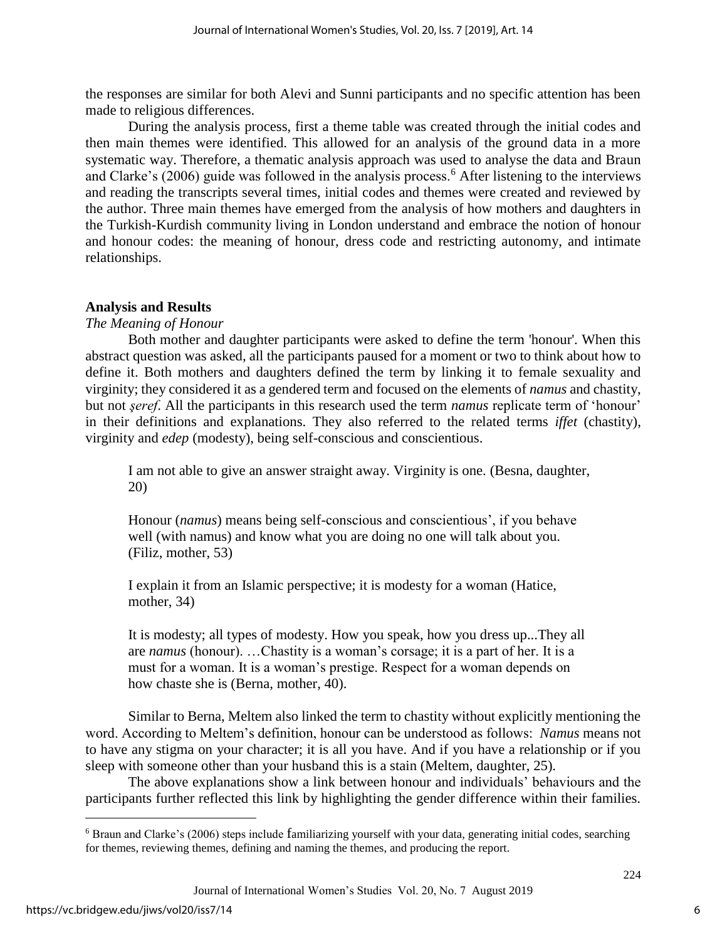the responses are similar for both Alevi and Sunni participants and no specific attention has been made to religious differences.

During the analysis process, first a theme table was created through the initial codes and then main themes were identified. This allowed for an analysis of the ground data in a more systematic way. Therefore, a thematic analysis approach was used to analyse the data and Braun and Clarke's  $(2006)$  guide was followed in the analysis process.<sup>6</sup> After listening to the interviews and reading the transcripts several times, initial codes and themes were created and reviewed by the author. Three main themes have emerged from the analysis of how mothers and daughters in the Turkish-Kurdish community living in London understand and embrace the notion of honour and honour codes: the meaning of honour, dress code and restricting autonomy, and intimate relationships.

#### **Analysis and Results**

#### *The Meaning of Honour*

Both mother and daughter participants were asked to define the term 'honour'. When this abstract question was asked, all the participants paused for a moment or two to think about how to define it. Both mothers and daughters defined the term by linking it to female sexuality and virginity; they considered it as a gendered term and focused on the elements of *namus* and chastity, but not *şeref*. All the participants in this research used the term *namus* replicate term of 'honour' in their definitions and explanations. They also referred to the related terms *iffet* (chastity), virginity and *edep* (modesty), being self-conscious and conscientious.

I am not able to give an answer straight away. Virginity is one. (Besna, daughter, 20)

Honour (*namus*) means being self-conscious and conscientious', if you behave well (with namus) and know what you are doing no one will talk about you. (Filiz, mother, 53)

I explain it from an Islamic perspective; it is modesty for a woman (Hatice, mother, 34)

It is modesty; all types of modesty. How you speak, how you dress up...They all are *namus* (honour). …Chastity is a woman's corsage; it is a part of her. It is a must for a woman. It is a woman's prestige. Respect for a woman depends on how chaste she is (Berna, mother, 40).

Similar to Berna, Meltem also linked the term to chastity without explicitly mentioning the word. According to Meltem's definition, honour can be understood as follows: *Namus* means not to have any stigma on your character; it is all you have. And if you have a relationship or if you sleep with someone other than your husband this is a stain (Meltem, daughter, 25).

The above explanations show a link between honour and individuals' behaviours and the participants further reflected this link by highlighting the gender difference within their families.

 $\overline{a}$ 

<sup>6</sup> Braun and Clarke's (2006) steps include familiarizing yourself with your data, generating initial codes, searching for themes, reviewing themes, defining and naming the themes, and producing the report.

Journal of International Women's Studies Vol. 20, No. 7 August 2019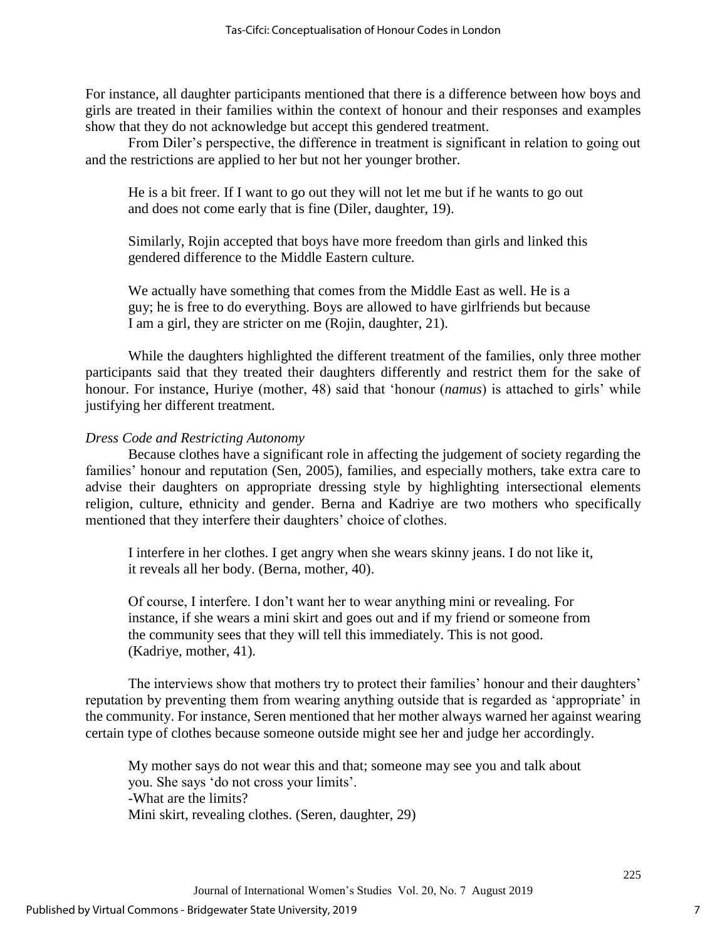For instance, all daughter participants mentioned that there is a difference between how boys and girls are treated in their families within the context of honour and their responses and examples show that they do not acknowledge but accept this gendered treatment.

From Diler's perspective, the difference in treatment is significant in relation to going out and the restrictions are applied to her but not her younger brother.

He is a bit freer. If I want to go out they will not let me but if he wants to go out and does not come early that is fine (Diler, daughter, 19).

Similarly, Rojin accepted that boys have more freedom than girls and linked this gendered difference to the Middle Eastern culture.

We actually have something that comes from the Middle East as well. He is a guy; he is free to do everything. Boys are allowed to have girlfriends but because I am a girl, they are stricter on me (Rojin, daughter, 21).

While the daughters highlighted the different treatment of the families, only three mother participants said that they treated their daughters differently and restrict them for the sake of honour. For instance, Huriye (mother, 48) said that 'honour (*namus*) is attached to girls' while justifying her different treatment.

## *Dress Code and Restricting Autonomy*

Because clothes have a significant role in affecting the judgement of society regarding the families' honour and reputation (Sen, 2005), families, and especially mothers, take extra care to advise their daughters on appropriate dressing style by highlighting intersectional elements religion, culture, ethnicity and gender. Berna and Kadriye are two mothers who specifically mentioned that they interfere their daughters' choice of clothes.

I interfere in her clothes. I get angry when she wears skinny jeans. I do not like it, it reveals all her body. (Berna, mother, 40).

Of course, I interfere. I don't want her to wear anything mini or revealing. For instance, if she wears a mini skirt and goes out and if my friend or someone from the community sees that they will tell this immediately. This is not good. (Kadriye, mother, 41).

The interviews show that mothers try to protect their families' honour and their daughters' reputation by preventing them from wearing anything outside that is regarded as 'appropriate' in the community. For instance, Seren mentioned that her mother always warned her against wearing certain type of clothes because someone outside might see her and judge her accordingly.

My mother says do not wear this and that; someone may see you and talk about you. She says 'do not cross your limits'. -What are the limits? Mini skirt, revealing clothes. (Seren, daughter, 29)

7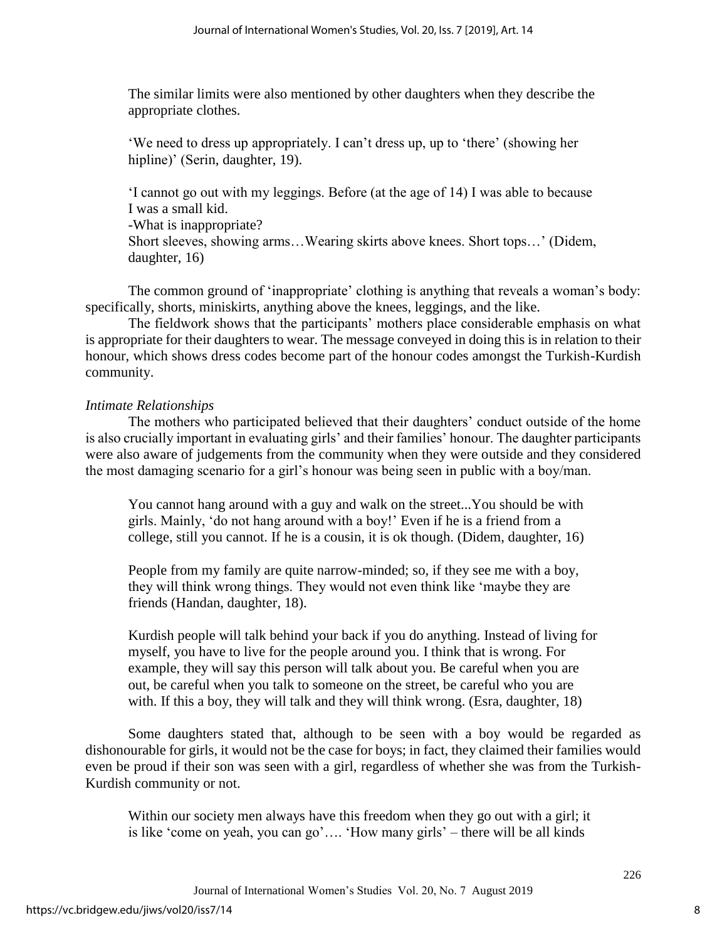The similar limits were also mentioned by other daughters when they describe the appropriate clothes.

'We need to dress up appropriately. I can't dress up, up to 'there' (showing her hipline)' (Serin, daughter, 19).

'I cannot go out with my leggings. Before (at the age of 14) I was able to because I was a small kid. -What is inappropriate? Short sleeves, showing arms…Wearing skirts above knees. Short tops…' (Didem, daughter, 16)

The common ground of 'inappropriate' clothing is anything that reveals a woman's body: specifically, shorts, miniskirts, anything above the knees, leggings, and the like.

The fieldwork shows that the participants' mothers place considerable emphasis on what is appropriate for their daughters to wear. The message conveyed in doing this is in relation to their honour, which shows dress codes become part of the honour codes amongst the Turkish-Kurdish community.

#### *Intimate Relationships*

The mothers who participated believed that their daughters' conduct outside of the home is also crucially important in evaluating girls' and their families' honour. The daughter participants were also aware of judgements from the community when they were outside and they considered the most damaging scenario for a girl's honour was being seen in public with a boy/man.

You cannot hang around with a guy and walk on the street...You should be with girls. Mainly, 'do not hang around with a boy!' Even if he is a friend from a college, still you cannot. If he is a cousin, it is ok though. (Didem, daughter, 16)

People from my family are quite narrow-minded; so, if they see me with a boy, they will think wrong things. They would not even think like 'maybe they are friends (Handan, daughter, 18).

Kurdish people will talk behind your back if you do anything. Instead of living for myself, you have to live for the people around you. I think that is wrong. For example, they will say this person will talk about you. Be careful when you are out, be careful when you talk to someone on the street, be careful who you are with. If this a boy, they will talk and they will think wrong. (Esra, daughter, 18)

Some daughters stated that, although to be seen with a boy would be regarded as dishonourable for girls, it would not be the case for boys; in fact, they claimed their families would even be proud if their son was seen with a girl, regardless of whether she was from the Turkish-Kurdish community or not.

Within our society men always have this freedom when they go out with a girl; it is like 'come on yeah, you can go'…. 'How many girls' – there will be all kinds

8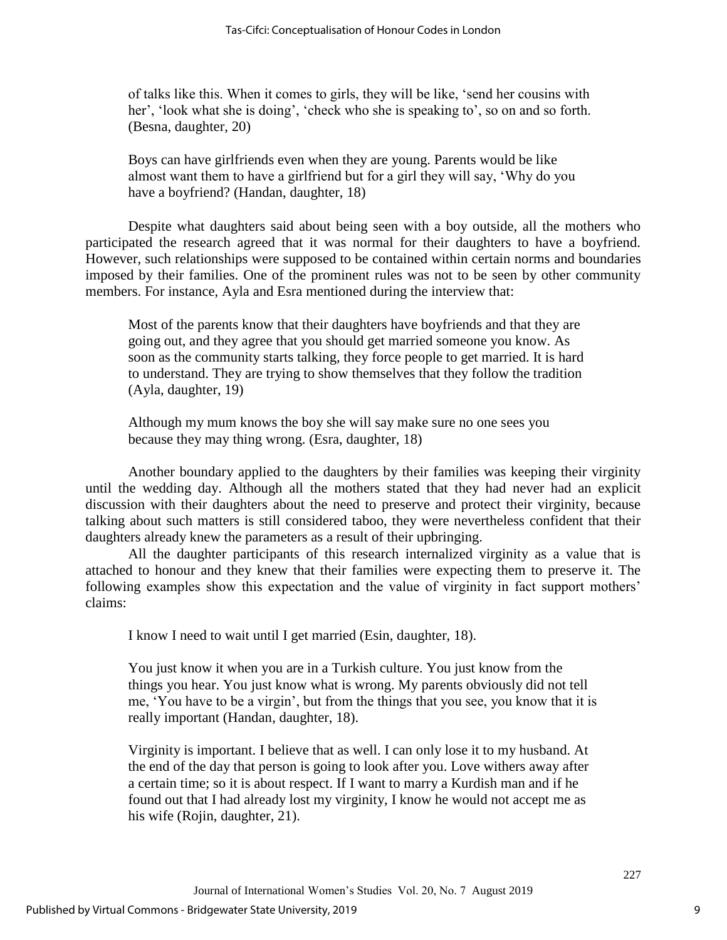of talks like this. When it comes to girls, they will be like, 'send her cousins with her', 'look what she is doing', 'check who she is speaking to', so on and so forth. (Besna, daughter, 20)

Boys can have girlfriends even when they are young. Parents would be like almost want them to have a girlfriend but for a girl they will say, 'Why do you have a boyfriend? (Handan, daughter, 18)

Despite what daughters said about being seen with a boy outside, all the mothers who participated the research agreed that it was normal for their daughters to have a boyfriend. However, such relationships were supposed to be contained within certain norms and boundaries imposed by their families. One of the prominent rules was not to be seen by other community members. For instance, Ayla and Esra mentioned during the interview that:

Most of the parents know that their daughters have boyfriends and that they are going out, and they agree that you should get married someone you know. As soon as the community starts talking, they force people to get married. It is hard to understand. They are trying to show themselves that they follow the tradition (Ayla, daughter, 19)

Although my mum knows the boy she will say make sure no one sees you because they may thing wrong. (Esra, daughter, 18)

Another boundary applied to the daughters by their families was keeping their virginity until the wedding day. Although all the mothers stated that they had never had an explicit discussion with their daughters about the need to preserve and protect their virginity, because talking about such matters is still considered taboo, they were nevertheless confident that their daughters already knew the parameters as a result of their upbringing.

All the daughter participants of this research internalized virginity as a value that is attached to honour and they knew that their families were expecting them to preserve it. The following examples show this expectation and the value of virginity in fact support mothers' claims:

I know I need to wait until I get married (Esin, daughter, 18).

You just know it when you are in a Turkish culture. You just know from the things you hear. You just know what is wrong. My parents obviously did not tell me, 'You have to be a virgin', but from the things that you see, you know that it is really important (Handan, daughter, 18).

Virginity is important. I believe that as well. I can only lose it to my husband. At the end of the day that person is going to look after you. Love withers away after a certain time; so it is about respect. If I want to marry a Kurdish man and if he found out that I had already lost my virginity, I know he would not accept me as his wife (Rojin, daughter, 21).

9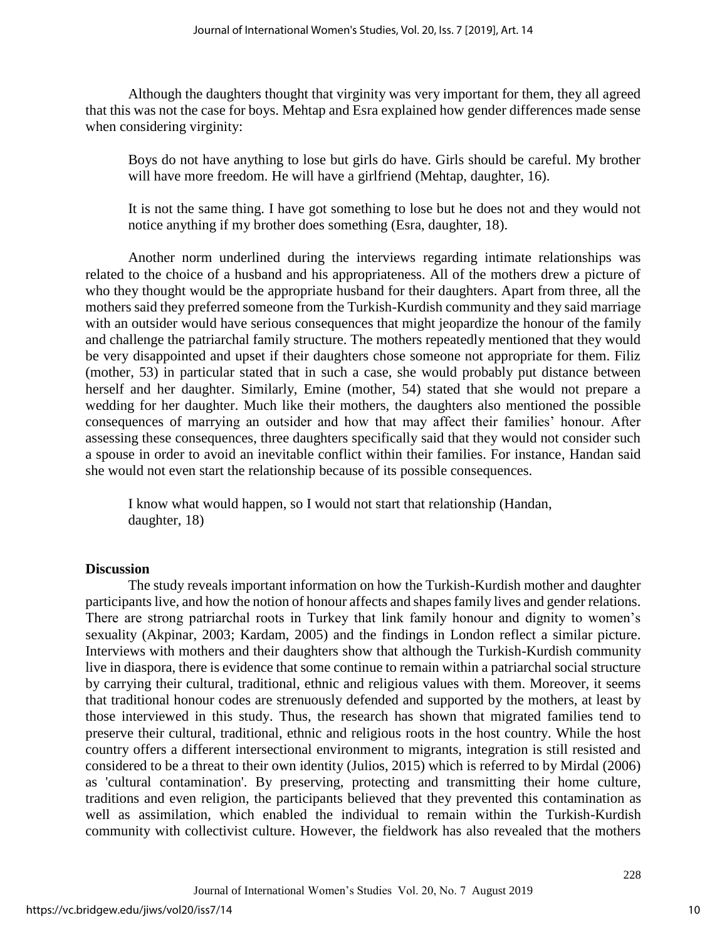Although the daughters thought that virginity was very important for them, they all agreed that this was not the case for boys. Mehtap and Esra explained how gender differences made sense when considering virginity:

Boys do not have anything to lose but girls do have. Girls should be careful. My brother will have more freedom. He will have a girlfriend (Mehtap, daughter, 16).

It is not the same thing. I have got something to lose but he does not and they would not notice anything if my brother does something (Esra, daughter, 18).

Another norm underlined during the interviews regarding intimate relationships was related to the choice of a husband and his appropriateness. All of the mothers drew a picture of who they thought would be the appropriate husband for their daughters. Apart from three, all the mothers said they preferred someone from the Turkish-Kurdish community and they said marriage with an outsider would have serious consequences that might jeopardize the honour of the family and challenge the patriarchal family structure. The mothers repeatedly mentioned that they would be very disappointed and upset if their daughters chose someone not appropriate for them. Filiz (mother, 53) in particular stated that in such a case, she would probably put distance between herself and her daughter. Similarly, Emine (mother, 54) stated that she would not prepare a wedding for her daughter. Much like their mothers, the daughters also mentioned the possible consequences of marrying an outsider and how that may affect their families' honour. After assessing these consequences, three daughters specifically said that they would not consider such a spouse in order to avoid an inevitable conflict within their families. For instance, Handan said she would not even start the relationship because of its possible consequences.

I know what would happen, so I would not start that relationship (Handan, daughter, 18)

#### **Discussion**

The study reveals important information on how the Turkish-Kurdish mother and daughter participants live, and how the notion of honour affects and shapes family lives and gender relations. There are strong patriarchal roots in Turkey that link family honour and dignity to women's sexuality (Akpinar, 2003; Kardam, 2005) and the findings in London reflect a similar picture. Interviews with mothers and their daughters show that although the Turkish-Kurdish community live in diaspora, there is evidence that some continue to remain within a patriarchal social structure by carrying their cultural, traditional, ethnic and religious values with them. Moreover, it seems that traditional honour codes are strenuously defended and supported by the mothers, at least by those interviewed in this study. Thus, the research has shown that migrated families tend to preserve their cultural, traditional, ethnic and religious roots in the host country. While the host country offers a different intersectional environment to migrants, integration is still resisted and considered to be a threat to their own identity (Julios, 2015) which is referred to by Mirdal (2006) as 'cultural contamination'. By preserving, protecting and transmitting their home culture, traditions and even religion, the participants believed that they prevented this contamination as well as assimilation, which enabled the individual to remain within the Turkish-Kurdish community with collectivist culture. However, the fieldwork has also revealed that the mothers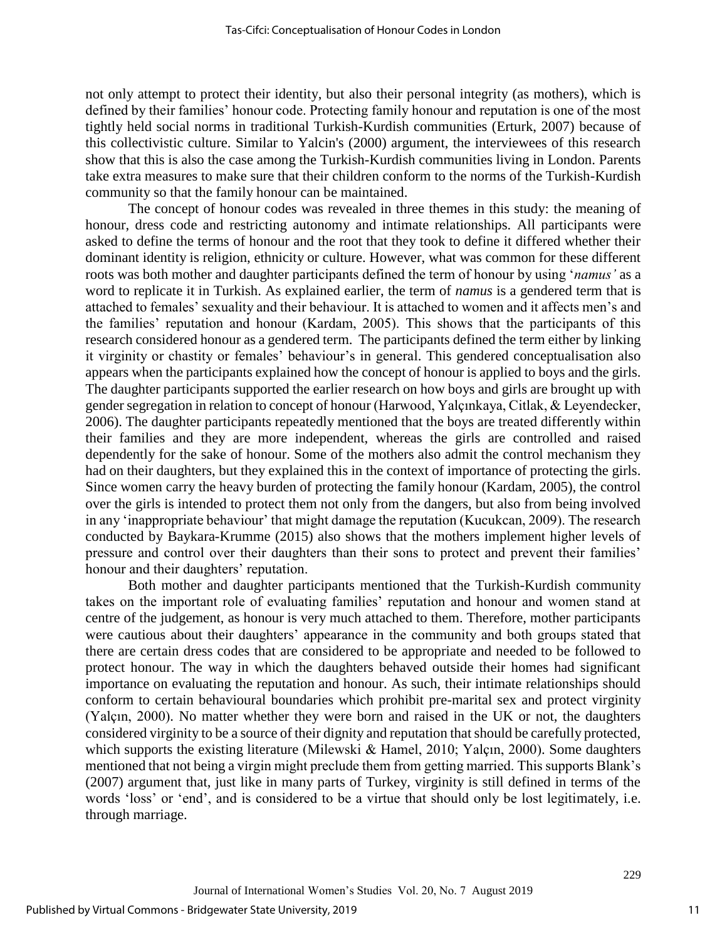not only attempt to protect their identity, but also their personal integrity (as mothers), which is defined by their families' honour code. Protecting family honour and reputation is one of the most tightly held social norms in traditional Turkish-Kurdish communities (Erturk, 2007) because of this collectivistic culture. Similar to Yalcin's (2000) argument, the interviewees of this research show that this is also the case among the Turkish-Kurdish communities living in London. Parents take extra measures to make sure that their children conform to the norms of the Turkish-Kurdish community so that the family honour can be maintained.

The concept of honour codes was revealed in three themes in this study: the meaning of honour, dress code and restricting autonomy and intimate relationships. All participants were asked to define the terms of honour and the root that they took to define it differed whether their dominant identity is religion, ethnicity or culture. However, what was common for these different roots was both mother and daughter participants defined the term of honour by using '*namus'* as a word to replicate it in Turkish. As explained earlier, the term of *namus* is a gendered term that is attached to females' sexuality and their behaviour. It is attached to women and it affects men's and the families' reputation and honour (Kardam, 2005). This shows that the participants of this research considered honour as a gendered term. The participants defined the term either by linking it virginity or chastity or females' behaviour's in general. This gendered conceptualisation also appears when the participants explained how the concept of honour is applied to boys and the girls. The daughter participants supported the earlier research on how boys and girls are brought up with gender segregation in relation to concept of honour (Harwood, Yalçınkaya, Citlak, & Leyendecker, 2006). The daughter participants repeatedly mentioned that the boys are treated differently within their families and they are more independent, whereas the girls are controlled and raised dependently for the sake of honour. Some of the mothers also admit the control mechanism they had on their daughters, but they explained this in the context of importance of protecting the girls. Since women carry the heavy burden of protecting the family honour (Kardam, 2005), the control over the girls is intended to protect them not only from the dangers, but also from being involved in any 'inappropriate behaviour' that might damage the reputation (Kucukcan, 2009). The research conducted by Baykara-Krumme (2015) also shows that the mothers implement higher levels of pressure and control over their daughters than their sons to protect and prevent their families' honour and their daughters' reputation.

Both mother and daughter participants mentioned that the Turkish-Kurdish community takes on the important role of evaluating families' reputation and honour and women stand at centre of the judgement, as honour is very much attached to them. Therefore, mother participants were cautious about their daughters' appearance in the community and both groups stated that there are certain dress codes that are considered to be appropriate and needed to be followed to protect honour. The way in which the daughters behaved outside their homes had significant importance on evaluating the reputation and honour. As such, their intimate relationships should conform to certain behavioural boundaries which prohibit pre-marital sex and protect virginity (Yalçın, 2000). No matter whether they were born and raised in the UK or not, the daughters considered virginity to be a source of their dignity and reputation that should be carefully protected, which supports the existing literature (Milewski & Hamel, 2010; Yalçın, 2000). Some daughters mentioned that not being a virgin might preclude them from getting married. This supports Blank's (2007) argument that, just like in many parts of Turkey, virginity is still defined in terms of the words 'loss' or 'end', and is considered to be a virtue that should only be lost legitimately, i.e. through marriage.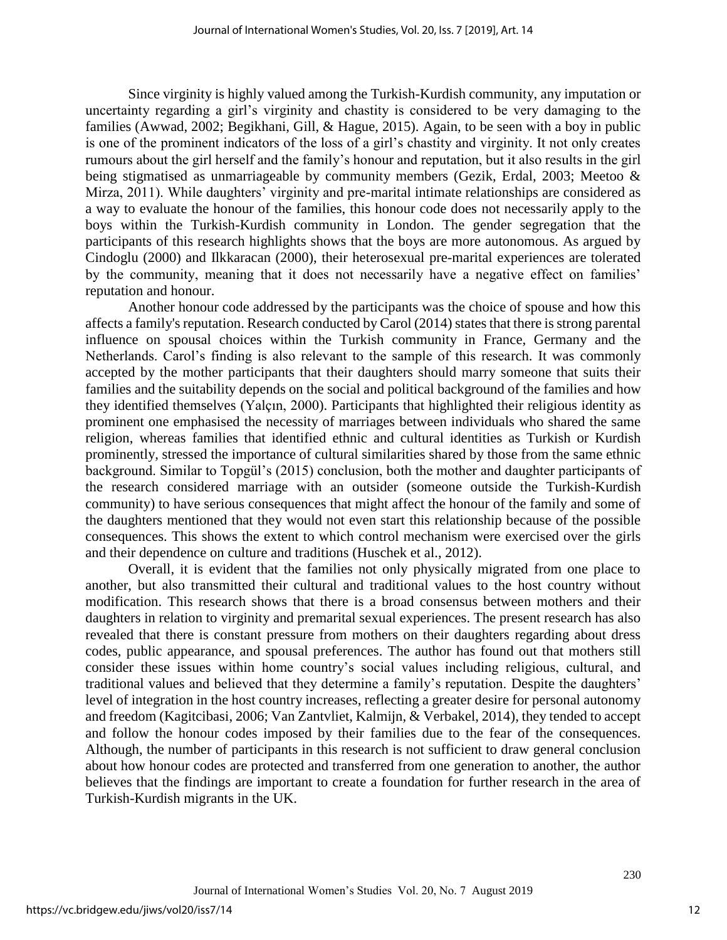Since virginity is highly valued among the Turkish-Kurdish community, any imputation or uncertainty regarding a girl's virginity and chastity is considered to be very damaging to the families (Awwad, 2002; Begikhani, Gill, & Hague, 2015). Again, to be seen with a boy in public is one of the prominent indicators of the loss of a girl's chastity and virginity. It not only creates rumours about the girl herself and the family's honour and reputation, but it also results in the girl being stigmatised as unmarriageable by community members (Gezik, Erdal, 2003; Meetoo & Mirza, 2011). While daughters' virginity and pre-marital intimate relationships are considered as a way to evaluate the honour of the families, this honour code does not necessarily apply to the boys within the Turkish-Kurdish community in London. The gender segregation that the participants of this research highlights shows that the boys are more autonomous. As argued by Cindoglu (2000) and Ilkkaracan (2000), their heterosexual pre-marital experiences are tolerated by the community, meaning that it does not necessarily have a negative effect on families' reputation and honour.

Another honour code addressed by the participants was the choice of spouse and how this affects a family's reputation. Research conducted by Carol (2014) states that there is strong parental influence on spousal choices within the Turkish community in France, Germany and the Netherlands. Carol's finding is also relevant to the sample of this research. It was commonly accepted by the mother participants that their daughters should marry someone that suits their families and the suitability depends on the social and political background of the families and how they identified themselves (Yalçın, 2000). Participants that highlighted their religious identity as prominent one emphasised the necessity of marriages between individuals who shared the same religion, whereas families that identified ethnic and cultural identities as Turkish or Kurdish prominently, stressed the importance of cultural similarities shared by those from the same ethnic background. Similar to Topgül's (2015) conclusion, both the mother and daughter participants of the research considered marriage with an outsider (someone outside the Turkish-Kurdish community) to have serious consequences that might affect the honour of the family and some of the daughters mentioned that they would not even start this relationship because of the possible consequences. This shows the extent to which control mechanism were exercised over the girls and their dependence on culture and traditions (Huschek et al., 2012).

Overall, it is evident that the families not only physically migrated from one place to another, but also transmitted their cultural and traditional values to the host country without modification. This research shows that there is a broad consensus between mothers and their daughters in relation to virginity and premarital sexual experiences. The present research has also revealed that there is constant pressure from mothers on their daughters regarding about dress codes, public appearance, and spousal preferences. The author has found out that mothers still consider these issues within home country's social values including religious, cultural, and traditional values and believed that they determine a family's reputation. Despite the daughters' level of integration in the host country increases, reflecting a greater desire for personal autonomy and freedom (Kagitcibasi, 2006; Van Zantvliet, Kalmijn, & Verbakel, 2014), they tended to accept and follow the honour codes imposed by their families due to the fear of the consequences. Although, the number of participants in this research is not sufficient to draw general conclusion about how honour codes are protected and transferred from one generation to another, the author believes that the findings are important to create a foundation for further research in the area of Turkish-Kurdish migrants in the UK.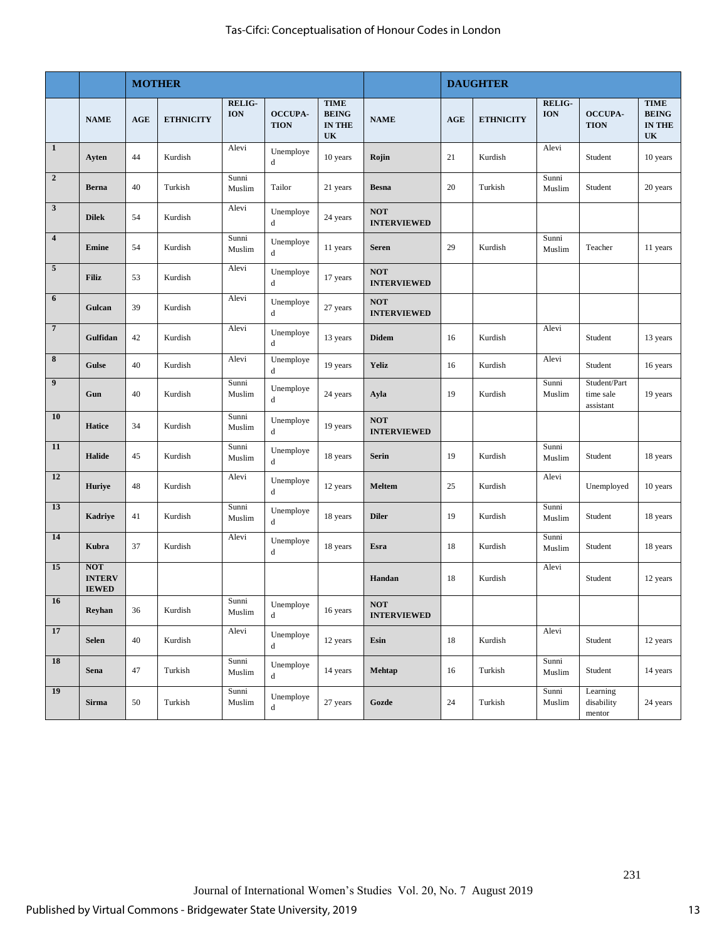|                 |                                             | <b>MOTHER</b> |                  |                             |                               |                                                    |                                  | <b>DAUGHTER</b> |                  |                             |                                        |                                                    |
|-----------------|---------------------------------------------|---------------|------------------|-----------------------------|-------------------------------|----------------------------------------------------|----------------------------------|-----------------|------------------|-----------------------------|----------------------------------------|----------------------------------------------------|
|                 | <b>NAME</b>                                 | AGE           | <b>ETHNICITY</b> | <b>RELIG-</b><br><b>ION</b> | <b>OCCUPA-</b><br><b>TION</b> | <b>TIME</b><br><b>BEING</b><br><b>IN THE</b><br>UK | <b>NAME</b>                      | <b>AGE</b>      | <b>ETHNICITY</b> | <b>RELIG-</b><br><b>ION</b> | <b>OCCUPA-</b><br><b>TION</b>          | <b>TIME</b><br><b>BEING</b><br><b>IN THE</b><br>UK |
| $\mathbf{1}$    | Ayten                                       | 44            | Kurdish          | Alevi                       | Unemploye<br>d                | 10 years                                           | Rojin                            | 21              | Kurdish          | Alevi                       | Student                                | 10 years                                           |
| $\overline{2}$  | <b>Berna</b>                                | 40            | Turkish          | Sunni<br>Muslim             | Tailor                        | 21 years                                           | <b>Besna</b>                     | 20              | Turkish          | Sunni<br>Muslim             | Student                                | 20 years                                           |
| $\mathbf{3}$    | <b>Dilek</b>                                | 54            | Kurdish          | Alevi                       | Unemploye<br>d                | 24 years                                           | <b>NOT</b><br><b>INTERVIEWED</b> |                 |                  |                             |                                        |                                                    |
| $\overline{4}$  | Emine                                       | 54            | Kurdish          | Sunni<br>Muslim             | Unemploye<br>d                | 11 years                                           | <b>Seren</b>                     | 29              | Kurdish          | Sunni<br>Muslim             | Teacher                                | 11 years                                           |
| $\overline{5}$  | <b>Filiz</b>                                | 53            | Kurdish          | Alevi                       | Unemploye<br>d                | 17 years                                           | <b>NOT</b><br><b>INTERVIEWED</b> |                 |                  |                             |                                        |                                                    |
| 6               | Gulcan                                      | 39            | Kurdish          | Alevi                       | Unemploye<br>d                | 27 years                                           | <b>NOT</b><br><b>INTERVIEWED</b> |                 |                  |                             |                                        |                                                    |
| $7\phantom{.0}$ | Gulfidan                                    | 42            | Kurdish          | Alevi                       | Unemploye<br>d                | 13 years                                           | <b>Didem</b>                     | 16              | Kurdish          | Alevi                       | Student                                | 13 years                                           |
| 8               | <b>Gulse</b>                                | 40            | Kurdish          | Alevi                       | Unemploye<br>d                | 19 years                                           | <b>Yeliz</b>                     | 16              | Kurdish          | Alevi                       | Student                                | 16 years                                           |
| 9               | Gun                                         | 40            | Kurdish          | Sunni<br>Muslim             | Unemploye<br>d                | 24 years                                           | Ayla                             | 19              | Kurdish          | Sunni<br>Muslim             | Student/Part<br>time sale<br>assistant | 19 years                                           |
| 10              | <b>Hatice</b>                               | 34            | Kurdish          | Sunni<br>Muslim             | Unemploye<br>d                | 19 years                                           | <b>NOT</b><br><b>INTERVIEWED</b> |                 |                  |                             |                                        |                                                    |
| 11              | <b>Halide</b>                               | 45            | Kurdish          | Sunni<br>Muslim             | Unemploye<br>d                | 18 years                                           | Serin                            | 19              | Kurdish          | Sunni<br>Muslim             | Student                                | 18 years                                           |
| 12              | <b>Huriye</b>                               | 48            | Kurdish          | Alevi                       | Unemploye<br>d                | 12 years                                           | <b>Meltem</b>                    | 25              | Kurdish          | Alevi                       | Unemployed                             | 10 years                                           |
| 13              | <b>Kadriye</b>                              | 41            | Kurdish          | Sunni<br>Muslim             | Unemploye<br>d                | 18 years                                           | <b>Diler</b>                     | 19              | Kurdish          | Sunni<br>Muslim             | Student                                | 18 years                                           |
| 14              | Kubra                                       | 37            | Kurdish          | Alevi                       | Unemploye<br>d                | 18 years                                           | Esra                             | 18              | Kurdish          | Sunni<br>Muslim             | Student                                | 18 years                                           |
| 15              | <b>NOT</b><br><b>INTERV</b><br><b>IEWED</b> |               |                  |                             |                               |                                                    | Handan                           | 18              | Kurdish          | Alevi                       | Student                                | 12 years                                           |
| <b>16</b>       | Reyhan                                      | 36            | Kurdish          | Sunni<br>Muslim             | Unemploye<br>d                | 16 years                                           | <b>NOT</b><br><b>INTERVIEWED</b> |                 |                  |                             |                                        |                                                    |
| 17              | <b>Selen</b>                                | 40            | Kurdish          | Alevi                       | Unemploye<br>d                | 12 years                                           | Esin                             | 18              | Kurdish          | Alevi                       | Student                                | 12 years                                           |
| 18              | Sena                                        | 47            | Turkish          | Sunni<br>Muslim             | Unemploye<br>d                | 14 years                                           | <b>Mehtap</b>                    | 16              | Turkish          | Sunni<br>Muslim             | Student                                | 14 years                                           |
| 19              | Sirma                                       | $50\,$        | Turkish          | Sunni<br>Muslim             | Unemploye<br>d                | 27 years                                           | Gozde                            | $24\,$          | Turkish          | Sunni<br>Muslim             | Learning<br>disability<br>mentor       | 24 years                                           |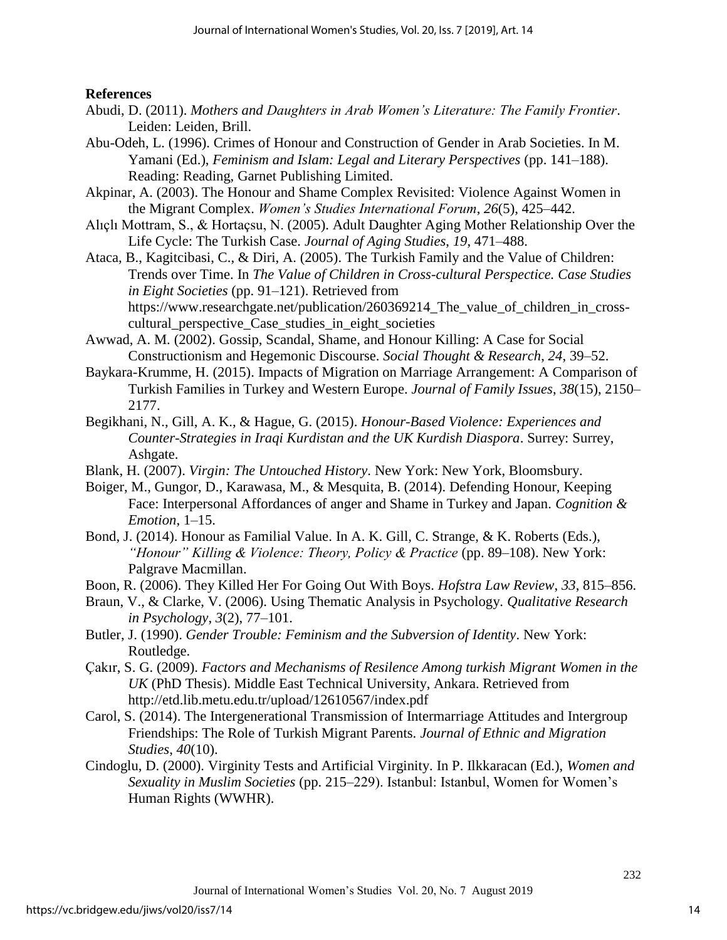## **References**

- Abudi, D. (2011). *Mothers and Daughters in Arab Women's Literature: The Family Frontier*. Leiden: Leiden, Brill.
- Abu-Odeh, L. (1996). Crimes of Honour and Construction of Gender in Arab Societies. In M. Yamani (Ed.), *Feminism and Islam: Legal and Literary Perspectives* (pp. 141–188). Reading: Reading, Garnet Publishing Limited.
- Akpinar, A. (2003). The Honour and Shame Complex Revisited: Violence Against Women in the Migrant Complex. *Women's Studies International Forum*, *26*(5), 425–442.
- Alıçlı Mottram, S., & Hortaçsu, N. (2005). Adult Daughter Aging Mother Relationship Over the Life Cycle: The Turkish Case. *Journal of Aging Studies*, *19*, 471–488.
- Ataca, B., Kagitcibasi, C., & Diri, A. (2005). The Turkish Family and the Value of Children: Trends over Time. In *The Value of Children in Cross-cultural Perspectice. Case Studies in Eight Societies* (pp. 91–121). Retrieved from https://www.researchgate.net/publication/260369214\_The\_value\_of\_children\_in\_crosscultural\_perspective\_Case\_studies\_in\_eight\_societies
- Awwad, A. M. (2002). Gossip, Scandal, Shame, and Honour Killing: A Case for Social Constructionism and Hegemonic Discourse. *Social Thought & Research*, *24*, 39–52.
- Baykara-Krumme, H. (2015). Impacts of Migration on Marriage Arrangement: A Comparison of Turkish Families in Turkey and Western Europe. *Journal of Family Issues*, *38*(15), 2150– 2177.
- Begikhani, N., Gill, A. K., & Hague, G. (2015). *Honour-Based Violence: Experiences and Counter-Strategies in Iraqi Kurdistan and the UK Kurdish Diaspora*. Surrey: Surrey, Ashgate.
- Blank, H. (2007). *Virgin: The Untouched History*. New York: New York, Bloomsbury.
- Boiger, M., Gungor, D., Karawasa, M., & Mesquita, B. (2014). Defending Honour, Keeping Face: Interpersonal Affordances of anger and Shame in Turkey and Japan. *Cognition & Emotion*, 1–15.
- Bond, J. (2014). Honour as Familial Value. In A. K. Gill, C. Strange, & K. Roberts (Eds.), *"Honour" Killing & Violence: Theory, Policy & Practice* (pp. 89–108). New York: Palgrave Macmillan.
- Boon, R. (2006). They Killed Her For Going Out With Boys. *Hofstra Law Review*, *33*, 815–856.
- Braun, V., & Clarke, V. (2006). Using Thematic Analysis in Psychology. *Qualitative Research in Psychology*, *3*(2), 77–101.
- Butler, J. (1990). *Gender Trouble: Feminism and the Subversion of Identity*. New York: Routledge.
- Çakır, S. G. (2009). *Factors and Mechanisms of Resilence Among turkish Migrant Women in the UK* (PhD Thesis). Middle East Technical University, Ankara. Retrieved from http://etd.lib.metu.edu.tr/upload/12610567/index.pdf
- Carol, S. (2014). The Intergenerational Transmission of Intermarriage Attitudes and Intergroup Friendships: The Role of Turkish Migrant Parents. *Journal of Ethnic and Migration Studies*, *40*(10).
- Cindoglu, D. (2000). Virginity Tests and Artificial Virginity. In P. Ilkkaracan (Ed.), *Women and Sexuality in Muslim Societies* (pp. 215–229). Istanbul: Istanbul, Women for Women's Human Rights (WWHR).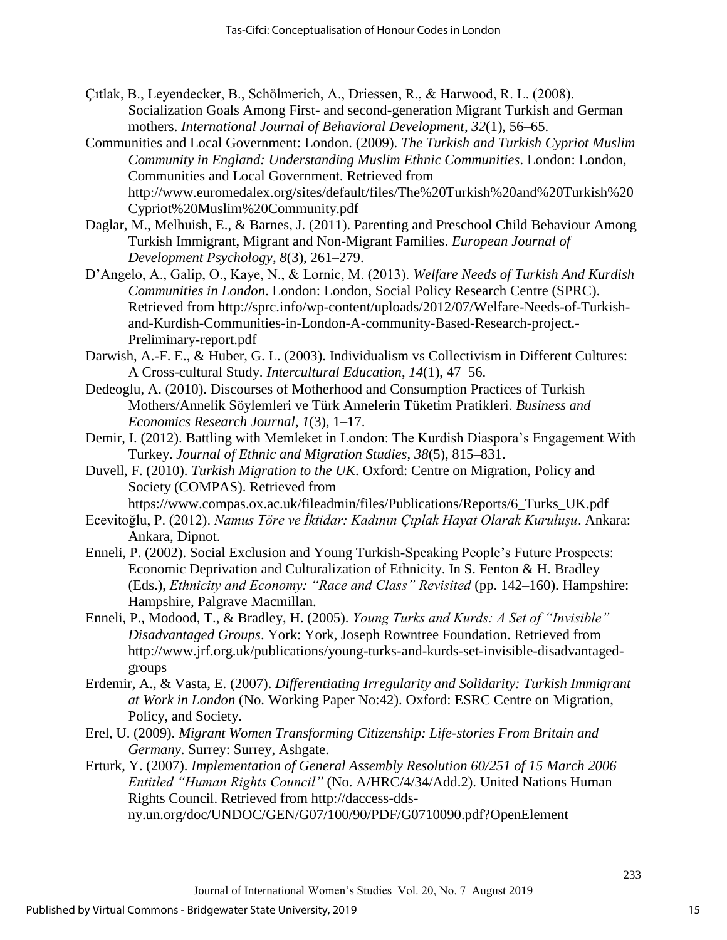- Çıtlak, B., Leyendecker, B., Schölmerich, A., Driessen, R., & Harwood, R. L. (2008). Socialization Goals Among First- and second-generation Migrant Turkish and German mothers. *International Journal of Behavioral Development*, *32*(1), 56–65.
- Communities and Local Government: London. (2009). *The Turkish and Turkish Cypriot Muslim Community in England: Understanding Muslim Ethnic Communities*. London: London, Communities and Local Government. Retrieved from http://www.euromedalex.org/sites/default/files/The%20Turkish%20and%20Turkish%20 Cypriot%20Muslim%20Community.pdf
- Daglar, M., Melhuish, E., & Barnes, J. (2011). Parenting and Preschool Child Behaviour Among Turkish Immigrant, Migrant and Non-Migrant Families. *European Journal of Development Psychology*, *8*(3), 261–279.
- D'Angelo, A., Galip, O., Kaye, N., & Lornic, M. (2013). *Welfare Needs of Turkish And Kurdish Communities in London*. London: London, Social Policy Research Centre (SPRC). Retrieved from http://sprc.info/wp-content/uploads/2012/07/Welfare-Needs-of-Turkishand-Kurdish-Communities-in-London-A-community-Based-Research-project.- Preliminary-report.pdf
- Darwish, A.-F. E., & Huber, G. L. (2003). Individualism vs Collectivism in Different Cultures: A Cross-cultural Study. *Intercultural Education*, *14*(1), 47–56.
- Dedeoglu, A. (2010). Discourses of Motherhood and Consumption Practices of Turkish Mothers/Annelik Söylemleri ve Türk Annelerin Tüketim Pratikleri. *Business and Economics Research Journal*, *1*(3), 1–17.
- Demir, I. (2012). Battling with Memleket in London: The Kurdish Diaspora's Engagement With Turkey. *Journal of Ethnic and Migration Studies*, *38*(5), 815–831.
- Duvell, F. (2010). *Turkish Migration to the UK*. Oxford: Centre on Migration, Policy and Society (COMPAS). Retrieved from

https://www.compas.ox.ac.uk/fileadmin/files/Publications/Reports/6\_Turks\_UK.pdf

- Ecevitoğlu, P. (2012). *Namus Töre ve İktidar: Kadının Çıplak Hayat Olarak Kuruluşu*. Ankara: Ankara, Dipnot.
- Enneli, P. (2002). Social Exclusion and Young Turkish-Speaking People's Future Prospects: Economic Deprivation and Culturalization of Ethnicity. In S. Fenton & H. Bradley (Eds.), *Ethnicity and Economy: "Race and Class" Revisited* (pp. 142–160). Hampshire: Hampshire, Palgrave Macmillan.
- Enneli, P., Modood, T., & Bradley, H. (2005). *Young Turks and Kurds: A Set of "Invisible" Disadvantaged Groups*. York: York, Joseph Rowntree Foundation. Retrieved from http://www.jrf.org.uk/publications/young-turks-and-kurds-set-invisible-disadvantagedgroups
- Erdemir, A., & Vasta, E. (2007). *Differentiating Irregularity and Solidarity: Turkish Immigrant at Work in London* (No. Working Paper No:42). Oxford: ESRC Centre on Migration, Policy, and Society.
- Erel, U. (2009). *Migrant Women Transforming Citizenship: Life-stories From Britain and Germany*. Surrey: Surrey, Ashgate.
- Erturk, Y. (2007). *Implementation of General Assembly Resolution 60/251 of 15 March 2006 Entitled "Human Rights Council"* (No. A/HRC/4/34/Add.2). United Nations Human Rights Council. Retrieved from http://daccess-ddsny.un.org/doc/UNDOC/GEN/G07/100/90/PDF/G0710090.pdf?OpenElement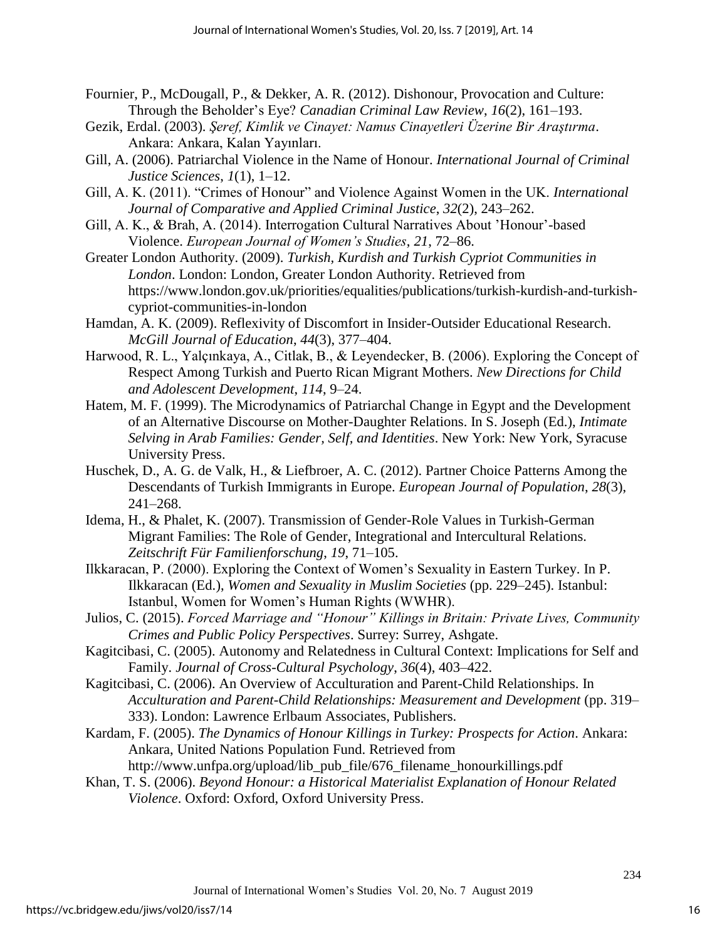- Fournier, P., McDougall, P., & Dekker, A. R. (2012). Dishonour, Provocation and Culture: Through the Beholder's Eye? *Canadian Criminal Law Review*, *16*(2), 161–193.
- Gezik, Erdal. (2003). *Şeref, Kimlik ve Cinayet: Namus Cinayetleri Üzerine Bir Araştırma*. Ankara: Ankara, Kalan Yayınları.
- Gill, A. (2006). Patriarchal Violence in the Name of Honour. *International Journal of Criminal Justice Sciences*, *1*(1), 1–12.
- Gill, A. K. (2011). "Crimes of Honour" and Violence Against Women in the UK. *International Journal of Comparative and Applied Criminal Justice*, *32*(2), 243–262.
- Gill, A. K., & Brah, A. (2014). Interrogation Cultural Narratives About 'Honour'-based Violence. *European Journal of Women's Studies*, *21*, 72–86.
- Greater London Authority. (2009). *Turkish, Kurdish and Turkish Cypriot Communities in London*. London: London, Greater London Authority. Retrieved from https://www.london.gov.uk/priorities/equalities/publications/turkish-kurdish-and-turkishcypriot-communities-in-london
- Hamdan, A. K. (2009). Reflexivity of Discomfort in Insider-Outsider Educational Research. *McGill Journal of Education*, *44*(3), 377–404.
- Harwood, R. L., Yalçınkaya, A., Citlak, B., & Leyendecker, B. (2006). Exploring the Concept of Respect Among Turkish and Puerto Rican Migrant Mothers. *New Directions for Child and Adolescent Development*, *114*, 9–24.
- Hatem, M. F. (1999). The Microdynamics of Patriarchal Change in Egypt and the Development of an Alternative Discourse on Mother-Daughter Relations. In S. Joseph (Ed.), *Intimate Selving in Arab Families: Gender, Self, and Identities*. New York: New York, Syracuse University Press.
- Huschek, D., A. G. de Valk, H., & Liefbroer, A. C. (2012). Partner Choice Patterns Among the Descendants of Turkish Immigrants in Europe. *European Journal of Population*, *28*(3), 241–268.
- Idema, H., & Phalet, K. (2007). Transmission of Gender-Role Values in Turkish-German Migrant Families: The Role of Gender, Integrational and Intercultural Relations. *Zeitschrift Für Familienforschung*, *19*, 71–105.
- Ilkkaracan, P. (2000). Exploring the Context of Women's Sexuality in Eastern Turkey. In P. Ilkkaracan (Ed.), *Women and Sexuality in Muslim Societies* (pp. 229–245). Istanbul: Istanbul, Women for Women's Human Rights (WWHR).
- Julios, C. (2015). *Forced Marriage and "Honour" Killings in Britain: Private Lives, Community Crimes and Public Policy Perspectives*. Surrey: Surrey, Ashgate.
- Kagitcibasi, C. (2005). Autonomy and Relatedness in Cultural Context: Implications for Self and Family. *Journal of Cross-Cultural Psychology*, *36*(4), 403–422.
- Kagitcibasi, C. (2006). An Overview of Acculturation and Parent-Child Relationships. In *Acculturation and Parent-Child Relationships: Measurement and Development* (pp. 319– 333). London: Lawrence Erlbaum Associates, Publishers.
- Kardam, F. (2005). *The Dynamics of Honour Killings in Turkey: Prospects for Action*. Ankara: Ankara, United Nations Population Fund. Retrieved from http://www.unfpa.org/upload/lib\_pub\_file/676\_filename\_honourkillings.pdf

Khan, T. S. (2006). *Beyond Honour: a Historical Materialist Explanation of Honour Related* 

*Violence*. Oxford: Oxford, Oxford University Press.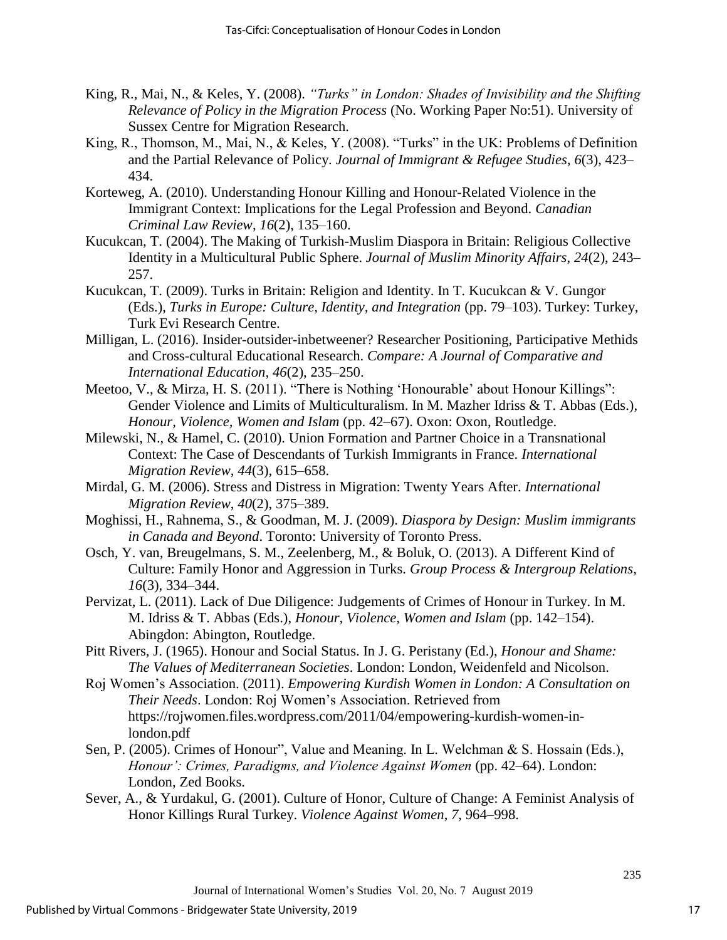- King, R., Mai, N., & Keles, Y. (2008). *"Turks" in London: Shades of Invisibility and the Shifting Relevance of Policy in the Migration Process* (No. Working Paper No:51). University of Sussex Centre for Migration Research.
- King, R., Thomson, M., Mai, N., & Keles, Y. (2008). "Turks" in the UK: Problems of Definition and the Partial Relevance of Policy. *Journal of Immigrant & Refugee Studies*, *6*(3), 423– 434.
- Korteweg, A. (2010). Understanding Honour Killing and Honour-Related Violence in the Immigrant Context: Implications for the Legal Profession and Beyond. *Canadian Criminal Law Review*, *16*(2), 135–160.
- Kucukcan, T. (2004). The Making of Turkish-Muslim Diaspora in Britain: Religious Collective Identity in a Multicultural Public Sphere. *Journal of Muslim Minority Affairs*, *24*(2), 243– 257.
- Kucukcan, T. (2009). Turks in Britain: Religion and Identity. In T. Kucukcan & V. Gungor (Eds.), *Turks in Europe: Culture, Identity, and Integration* (pp. 79–103). Turkey: Turkey, Turk Evi Research Centre.
- Milligan, L. (2016). Insider-outsider-inbetweener? Researcher Positioning, Participative Methids and Cross-cultural Educational Research. *Compare: A Journal of Comparative and International Education*, *46*(2), 235–250.
- Meetoo, V., & Mirza, H. S. (2011). "There is Nothing 'Honourable' about Honour Killings": Gender Violence and Limits of Multiculturalism. In M. Mazher Idriss & T. Abbas (Eds.), *Honour, Violence, Women and Islam* (pp. 42–67). Oxon: Oxon, Routledge.
- Milewski, N., & Hamel, C. (2010). Union Formation and Partner Choice in a Transnational Context: The Case of Descendants of Turkish Immigrants in France. *International Migration Review*, *44*(3), 615–658.
- Mirdal, G. M. (2006). Stress and Distress in Migration: Twenty Years After. *International Migration Review*, *40*(2), 375–389.
- Moghissi, H., Rahnema, S., & Goodman, M. J. (2009). *Diaspora by Design: Muslim immigrants in Canada and Beyond*. Toronto: University of Toronto Press.
- Osch, Y. van, Breugelmans, S. M., Zeelenberg, M., & Boluk, O. (2013). A Different Kind of Culture: Family Honor and Aggression in Turks. *Group Process & Intergroup Relations*, *16*(3), 334–344.
- Pervizat, L. (2011). Lack of Due Diligence: Judgements of Crimes of Honour in Turkey. In M. M. Idriss & T. Abbas (Eds.), *Honour, Violence, Women and Islam* (pp. 142–154). Abingdon: Abington, Routledge.
- Pitt Rivers, J. (1965). Honour and Social Status. In J. G. Peristany (Ed.), *Honour and Shame: The Values of Mediterranean Societies*. London: London, Weidenfeld and Nicolson.
- Roj Women's Association. (2011). *Empowering Kurdish Women in London: A Consultation on Their Needs*. London: Roj Women's Association. Retrieved from https://rojwomen.files.wordpress.com/2011/04/empowering-kurdish-women-inlondon.pdf
- Sen, P. (2005). Crimes of Honour", Value and Meaning. In L. Welchman & S. Hossain (Eds.), *Honour': Crimes, Paradigms, and Violence Against Women* (pp. 42–64). London: London, Zed Books.
- Sever, A., & Yurdakul, G. (2001). Culture of Honor, Culture of Change: A Feminist Analysis of Honor Killings Rural Turkey. *Violence Against Women*, *7*, 964–998.